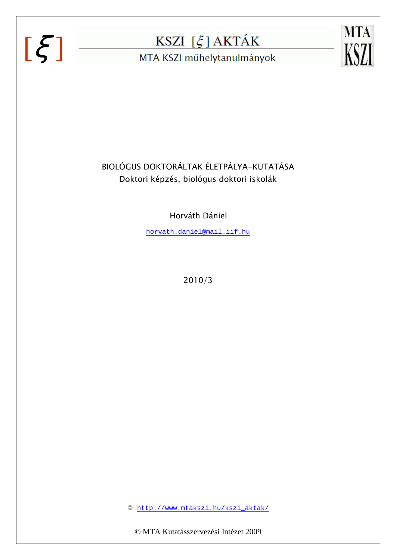# $[\xi]$



MTA KSZI műhelytanulmányok



## BIOLÓGUS DOKTORÁLTAK ÉLETPÁLYA-KUTATÁSA Doktori képzés, biológus doktori iskolák

Horváth Dániel

horvath.daniel@mail.iif.hu

2010/3

http://www.mtakszi.hu/kszi\_aktak/

© MTA Kutatásszervezési Intézet 2009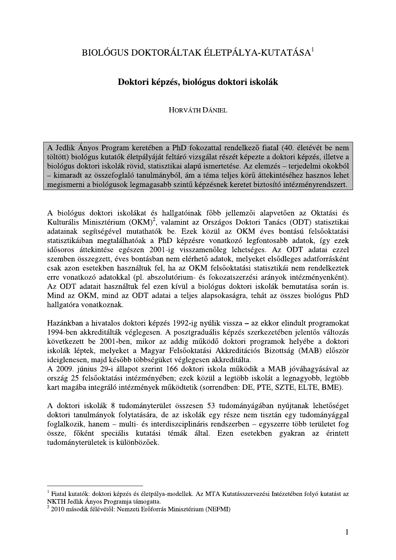## BIOLÓGUS DOKTORÁLTAK ÉLETPÁLYA-KUTATÁSA<sup>1</sup>

### Doktori képzés, biológus doktori iskolák

#### **HORVÁTH DÁNIEL**

A Jedlik Ányos Program keretében a PhD fokozattal rendelkező fiatal (40. életévét be nem töltött) biológus kutatók életpályáját feltáró vizsgálat részét képezte a doktori képzés, illetve a biológus doktori iskolák rövid, statisztikai alapú ismertetése. Az elemzés – terjedelmi okokból - kimaradt az összefoglaló tanulmányból, ám a téma teljes körű áttekintéséhez hasznos lehet megismerni a biológusok legmagasabb szintű képzésnek keretet biztosító intézményrendszert.

A biológus doktori iskolákat és hallgatóinak főbb jellemzői alapvetően az Oktatási és Kulturális Minisztérium (OKM)<sup>2</sup>, valamint az Országos Doktori Tanács (ODT) statisztikai adatainak segítségével mutathatók be. Ezek közül az OKM éves bontású felsőoktatási statisztikáiban megtalálhatóak a PhD képzésre vonatkozó legfontosabb adatok, így ezek idősoros áttekintése egészen 2001-ig visszamenőleg lehetséges. Az ODT adatai ezzel szemben összegzett, éves bontásban nem elérhető adatok, melyeket elsődleges adatforrásként csak azon esetekben használtuk fel, ha az OKM felsőoktatási statisztikái nem rendelkeztek erre vonatkozó adatokkal (pl. abszolutórium- és fokozatszerzési arányok intézményenként). Az ODT adatait használtuk fel ezen kívül a biológus doktori iskolák bemutatása során is. Mind az OKM, mind az ODT adatai a teljes alapsokaságra, tehát az összes biológus PhD hallgatóra vonatkoznak.

Hazánkban a hivatalos doktori képzés 1992-ig nyúlik vissza – az ekkor elindult programokat 1994-ben akkreditálták véglegesen. A posztgraduális képzés szerkezetében jelentős változás következett be 2001-ben, mikor az addig működő doktori programok helyébe a doktori iskolák léptek, melyeket a Magyar Felsőoktatási Akkreditációs Bizottság (MAB) először ideiglenesen, majd később többségüket véglegesen akkreditálta.

A 2009. június 29-i állapot szerint 166 doktori iskola működik a MAB jóváhagyásával az ország 25 felsőoktatási intézményében; ezek közül a legtöbb iskolát a legnagyobb, legtöbb kart magába integráló intézmények működtetik (sorrendben: DE, PTE, SZTE, ELTE, BME).

A doktori iskolák 8 tudományterület összesen 53 tudományágában nyújtanak lehetőséget doktori tanulmányok folytatására, de az iskolák egy része nem tisztán egy tudományággal foglalkozik, hanem – multi- és interdiszciplináris rendszerben – egyszerre több területet fog össze, főként speciális kutatási témák által. Ezen esetekben gyakran az érintett tudományterületek is különbözőek.

<sup>&</sup>lt;sup>1</sup> Fiatal kutatók: doktori képzés és életpálya-modellek. Az MTA Kutatásszervezési Intézetében folyó kutatást az NKTH Jedlik Ányos Programja támogatta.

 $22010$  második félévétől: Nemzeti Erőforrás Minisztérium (NEFMI)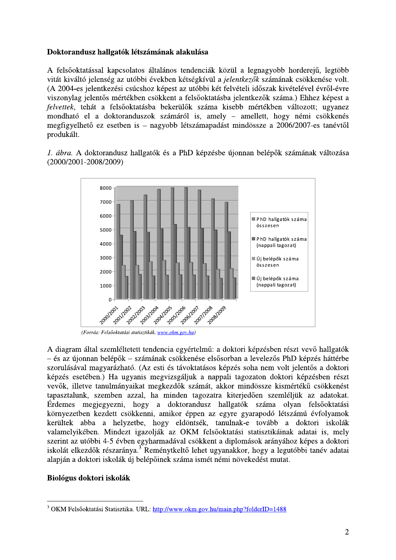#### Doktorandusz hallgatók létszámának alakulása

A felsőoktatással kapcsolatos általános tendenciák közül a legnagyobb horderejű, legtöbb vitát kiváltó jelenség az utóbbi években kétségkívül a jelentkezők számának csökkenése volt. (A 2004-es jelentkezési csúcshoz képest az utóbbi két felvételi időszak kivételével évről-évre viszonylag jelentős mértékben csökkent a felsőoktatásba jelentkezők száma.) Ehhez képest a felvettek, tehát a felsőoktatásba bekerülők száma kisebb mértékben változott; ugyanez mondható el a doktoranduszok számáról is, amely – amellett, hogy némi csökkenés megfigyelhető ez esetben is – nagyobb létszámapadást mindössze a 2006/2007-es tanévtől produkált.

1. ábra. A doktorandusz hallgatók és a PhD képzésbe újonnan belépők számának változása  $(2000/2001 - 2008/2009)$ 



(Forrás: Felsőoktatási statisztikák, www.okm.gov.hu)

A diagram által szemléltetett tendencia egyértelmű: a doktori képzésben részt vevő hallgatók – és az újonnan belépők – számának csökkenése elsősorban a levelezős PhD képzés háttérbe szorulásával magyarázható. (Az esti és távoktatásos képzés soha nem volt jelentős a doktori képzés esetében.) Ha ugyanis megyizsgáljuk a nappali tagozaton doktori képzésben részt vevők, illetve tanulmányaikat megkezdők számát, akkor mindössze kismértékű csökkenést tapasztalunk, szemben azzal, ha minden tagozatra kiterjedően szemléljük az adatokat. Érdemes megjegyezni, hogy a doktorandusz hallgatók száma olyan felsőoktatási környezetben kezdett csökkenni, amikor éppen az egyre gyarapodó létszámú évfolyamok kerültek abba a helyzetbe, hogy eldöntsék, tanulnak-e tovább a doktori iskolák valamelyikében. Mindezt igazolják az OKM felsőoktatási statisztikáinak adatai is, mely szerint az utóbbi 4-5 évben egyharmadával csökkent a diplomások arányához képes a doktori iskolát elkezdők részaránya.<sup>3</sup> Reménytkeltő lehet ugyanakkor, hogy a legutóbbi tanév adatai alapján a doktori iskolák új belépőinek száma ismét némi növekedést mutat.

#### Biológus doktori iskolák

<sup>&</sup>lt;sup>3</sup> OKM Felsőoktatási Statisztika. URL: http://www.okm.gov.hu/main.php?folderID=1488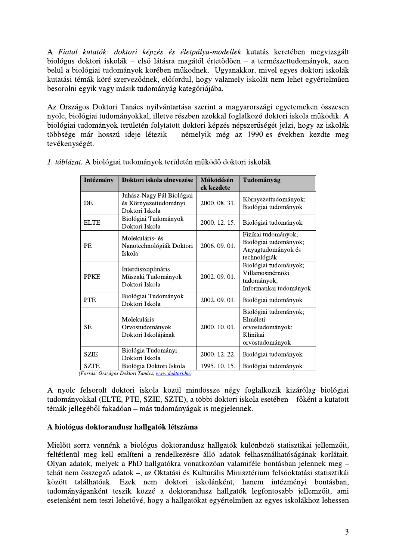A Fiatal kutatók: doktori képzés és életpálya-modellek kutatás keretében megvizsgált biológus doktori iskolák – első látásra magától értetődően – a természettudományok, azon belül a biológiai tudományok körében működnek. Ugyanakkor, mivel egyes doktori iskolák kutatási témák köré szerveződnek, előfordul, hogy valamely iskolát nem lehet egyértelműen besorolni egyik vagy másik tudományág kategóriájába.

Az Országos Doktori Tanács nyilvántartása szerint a magyarországi egyetemeken összesen nyolc, biológiai tudományokkal, illetve részben azokkal foglalkozó doktori iskola működik. A biológiai tudományok területén folytatott doktori képzés népszerűségét jelzi, hogy az iskolák többsége már hosszú ideje létezik – némelyik még az 1990-es években kezdte meg tevékenységét.

| Intézmény   | Doktori iskola elnevezése                                                     | Működésén<br>ek kezdete | Tudományág                                                                           |
|-------------|-------------------------------------------------------------------------------|-------------------------|--------------------------------------------------------------------------------------|
| DE          | Juhász-Nagy Pál Biológiai<br>és Környezettudományi<br>Doktori Iskola          | 2000.08.31.             | Környezettudományok;<br>Biológiai tudományok                                         |
| <b>ELTE</b> | Biológiai Tudományok<br>Doktori Iskola                                        | 2000. 12. 15.           | Biológiai tudományok                                                                 |
| PE          | Molekuláris- és<br>Nanotechnológiák Doktori<br>Iskola                         | 2006.09.01.             | Fizikai tudományok;<br>Biológiai tudományok;<br>Anyagtudományok és<br>technológiák   |
| <b>PPKE</b> | Interdiszciplináris<br>Műszaki Tudományok<br>Doktori Iskola                   | 2002.09.01.             | Biológiai tudományok;<br>Villamosmérnöki<br>tudományok;<br>Informatikai tudományok   |
| <b>PTE</b>  | Biológiai Tudományok<br>Doktori Iskola                                        | 2002.09.01.             | Biológiai tudományok                                                                 |
| SЕ          | Molekuláris<br>Orvostudományok<br>Doktori Iskolájának                         | 2000. 10. 01.           | Biológiai tudományok;<br>Elméleti<br>orvostudományok;<br>Klinikai<br>orvostudományok |
| <b>SZIE</b> | Biológia Tudományi<br>Doktori Iskola                                          | 2000. 12. 22.           | Biológiai tudományok                                                                 |
| <b>SZTE</b> | Biológia Doktori Iskola<br>Egrrác: Országos Doktori Tanács, ununy doktori byl | 1995. 10. 15.           | Biológiai tudományok                                                                 |

1. táblázat. A biológiai tudományok területén működő doktori iskolák

(Forrás: Országos Doktori Tanács, www.doktori.hu

A nyolc felsorolt doktori iskola közül mindössze négy foglalkozik kizárólag biológiai tudományokkal (ELTE, PTE, SZIE, SZTE), a többi doktori iskola esetében – főként a kutatott témák jellegéből fakadóan – más tudományágak is megjelennek.

#### A biológus doktorandusz hallgatók létszáma

Mielőtt sorra vennénk a biológus doktorandusz hallgatók különböző statisztikai jellemzőit, feltétlenül meg kell említeni a rendelkezésre álló adatok felhasználhatóságának korlátait. Olyan adatok, melyek a PhD hallgatókra vonatkozóan valamiféle bontásban jelennek meg tehát nem összegző adatok -, az Oktatási és Kulturális Minisztérium felsőoktatási statisztikái között találhatóak. Ezek nem doktori iskolánként, hanem intézményi bontásban, tudományáganként teszik közzé a doktorandusz hallgatók legfontosabb jellemzőit, ami esetenként nem teszi lehetővé, hogy a hallgatókat egyértelműen az egyes iskolákhoz lehessen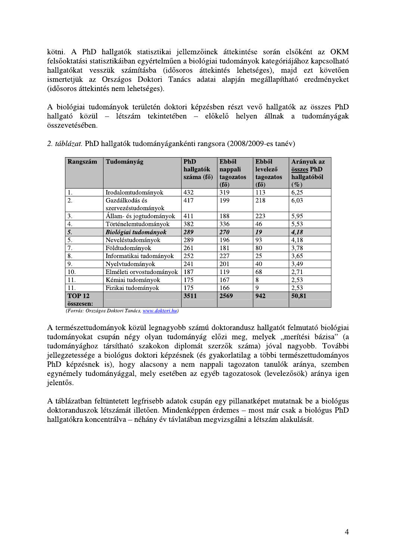kötni. A PhD hallgatók statisztikai jellemzőinek áttekintése során elsőként az OKM felsőoktatási statisztikáiban egyértelműen a biológiai tudományok kategóriájához kapcsolható hallgatókat vesszük számításba (idősoros áttekintés lehetséges), majd ezt követően ismertetjük az Országos Doktori Tanács adatai alapján megállapítható eredményeket (idősoros áttekintés nem lehetséges).

A biológiai tudományok területén doktori képzésben részt vevő hallgatók az összes PhD hallgató közül – létszám tekintetében – előkelő helyen állnak a tudományágak összevetésében.

| Rangszám                   | Tudományág                            | <b>PhD</b><br>hallgatók<br>száma (fő) | <b>Ebből</b><br>nappali<br>tagozatos<br>$(f\H{o})$ | <b>Ebből</b><br>levelező<br>tagozatos<br>$(f\H{o})$ | Arányuk az<br>összes PhD<br>hallgatóból<br>$(\%)$ |
|----------------------------|---------------------------------------|---------------------------------------|----------------------------------------------------|-----------------------------------------------------|---------------------------------------------------|
| 1.                         | Irodalomtudományok                    | 432                                   | 319                                                | 113                                                 | 6,25                                              |
| 2.                         | Gazdálkodás és<br>szervezéstudományok | 417                                   | 199                                                | 218                                                 | 6,03                                              |
| 3.                         | Állam- és jogtudományok               | 411                                   | 188                                                | 223                                                 | 5,95                                              |
| 4.                         | Történelemtudományok                  | 382                                   | 336                                                | 46                                                  | 5,53                                              |
| 5.                         | Biológiai tudományok                  | 289                                   | 270                                                | 19                                                  | 4,18                                              |
| 5.                         | Neveléstudományok                     | 289                                   | 196                                                | 93                                                  | 4,18                                              |
| 7.                         | Földtudományok                        | 261                                   | 181                                                | 80                                                  | 3,78                                              |
| 8.                         | Informatikai tudományok               | 252                                   | 227                                                | 25                                                  | 3,65                                              |
| 9.                         | Nyelvtudományok                       | 241                                   | 201                                                | 40                                                  | 3,49                                              |
| 10.                        | Elméleti orvostudományok              | 187                                   | 119                                                | 68                                                  | 2,71                                              |
| 11.                        | Kémiai tudományok                     | 175                                   | 167                                                | 8                                                   | 2,53                                              |
| 11.                        | Fizikai tudományok                    | 175                                   | 166                                                | 9                                                   | 2,53                                              |
| <b>TOP 12</b><br>összesen: |                                       | 3511                                  | 2569                                               | 942                                                 | 50,81                                             |

| 2. táblázat. PhD hallgatók tudományágankénti rangsora (2008/2009-es tanév) |  |
|----------------------------------------------------------------------------|--|
|----------------------------------------------------------------------------|--|

(Forrás: Országos Doktori Tanács, www.doktori.hu)

A természettudományok közül legnagyobb számú doktorandusz hallgatót felmutató biológiai tudományokat csupán négy olyan tudományág előzi meg, melyek "merítési bázisa" (a tudományághoz társítható szakokon diplomát szerzők száma) jóval nagyobb. További jellegzetessége a biológus doktori képzésnek (és gyakorlatilag a többi természettudományos PhD képzésnek is), hogy alacsony a nem nappali tagozaton tanulók aránya, szemben egynémely tudományággal, mely esetében az egyéb tagozatosok (levelezősök) aránya igen ielentős.

A táblázatban feltüntetett legfrisebb adatok csupán egy pillanatképet mutatnak be a biológus doktoranduszok létszámát illetően. Mindenképpen érdemes – most már csak a biológus PhD hallgatókra koncentrálva – néhány év távlatában megvizsgálni a létszám alakulását.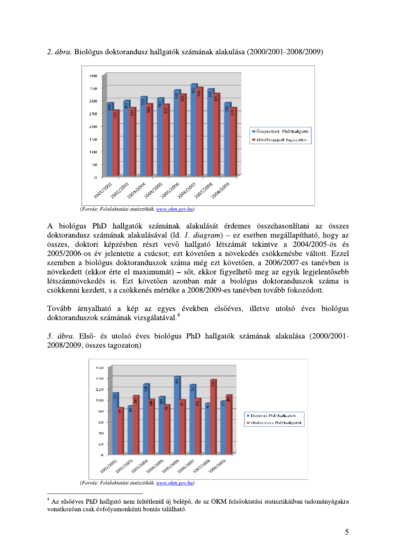

2. ábra. Biológus doktorandusz hallgatók számának alakulása (2000/2001-2008/2009)

A biológus PhD hallgatók számának alakulását érdemes összehasonlítani az összes doktorandusz számának alakulásával (ld. 1. diagram) – ez esetben megállapítható, hogy az összes, doktori képzésben részt vevő hallgató létszámát tekintve a 2004/2005-ös és 2005/2006-os év jelentette a csúcsot; ezt követően a növekedés csökkenésbe váltott. Ezzel szemben a biológus doktoranduszok száma még ezt követően, a 2006/2007-es tanévben is növekedett (ekkor érte el maximumát) – sőt, ekkor figyelhető meg az egyik legjelentősebb létszámnövekedés is. Ezt követően azonban már a biológus doktoranduszok száma is csökkenni kezdett, s a csökkenés mértéke a 2008/2009-es tanévben tovább fokozódott.

Tovább árnyalható a kép az egyes években elsőéves, illetve utolsó éves biológus doktoranduszok számának vizsgálatával.

3. ábra. Első- és utolsó éves biológus PhD hallgatók számának alakulása (2000/2001-2008/2009, összes tagozaton)



(Forrás: Felsőoktatási statisztikák, www.okm.gov.hu)

<sup>&</sup>lt;sup>4</sup> Az elsőéves PhD hallgató nem feltétlenül új belépő, de az OKM felsőoktatási statisztikáiban tudományágakra vonatkozóan csak évfolyamonkénti bontás található.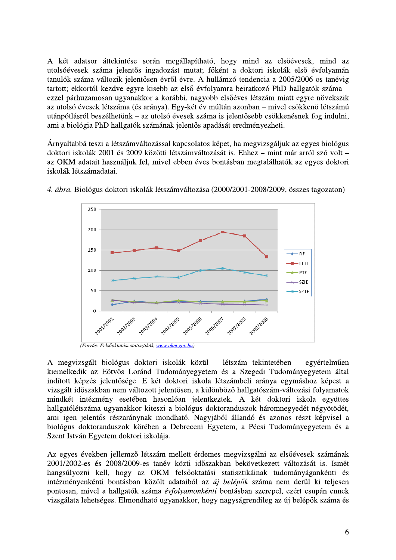A két adatsor áttekintése során megállapítható, hogy mind az elsőévesek, mind az utolsóévesek száma jelentős ingadozást mutat; főként a doktori iskolák első évfolyamán tanulók száma változik jelentősen évről-évre. A hullámzó tendencia a 2005/2006-os tanévig tartott; ekkortól kezdve egyre kisebb az első évfolyamra beiratkozó PhD hallgatók száma ezzel párhuzamosan ugyanakkor a korábbi, nagyobb elsőéves létszám miatt egyre növekszik az utolsó évesek létszáma (és aránya). Egy-két év múltán azonban – mivel csökkenő létszámú utánpótlásról beszélhetünk – az utolsó évesek száma is jelentősebb csökkenésnek fog indulni, ami a biológia PhD hallgatók számának jelentős apadását eredményezheti.

Árnyaltabbá teszi a létszámváltozással kapcsolatos képet, ha megyizsgáljuk az egyes biológus doktori iskolák 2001 és 2009 közötti létszámváltozását is. Ehhez – mint már arról szó volt – az OKM adatait használjuk fel, mivel ebben éves bontásban megtalálhatók az egyes doktori iskolák létszámadatai.



4. ábra. Biológus doktori iskolák létszámváltozása (2000/2001-2008/2009, összes tagozaton)

(Forrás: Felsőoktatási statisztikák, www.okm.gov.hu)

A megvizsgált biológus doktori iskolák közül – létszám tekintetében – egyértelműen kiemelkedik az Eötvös Loránd Tudományegyetem és a Szegedi Tudományegyetem által indított képzés jelentősége. E két doktori iskola létszámbeli aránya egymáshoz képest a vizsgált időszakban nem változott jelentősen, a különböző hallgatószám-változási folyamatok mindkét intézmény esetében hasonlóan jelentkeztek. A két doktori iskola együttes hallgatólétszáma ugyanakkor kiteszi a biológus doktoranduszok háromnegyedét-négyötödét, ami igen jelentős részaránynak mondható. Nagyjából állandó és azonos részt képvisel a biológus doktoranduszok körében a Debreceni Egyetem, a Pécsi Tudományegyetem és a Szent István Egyetem doktori iskolája.

Az egyes években jellemző létszám mellett érdemes megvizsgálni az elsőévesek számának 2001/2002-es és 2008/2009-es tanév közti időszakban bekövetkezett változását is. Ismét hangsúlyozni kell, hogy az OKM felsőoktatási statisztikáinak tudományágankénti és intézményenkénti bontásban közölt adataiból az új belépők száma nem derül ki teljesen pontosan, mivel a hallgatók száma évfolyamonkénti bontásban szerepel, ezért csupán ennek vizsgálata lehetséges. Elmondható ugyanakkor, hogy nagyságrendileg az új belépők száma és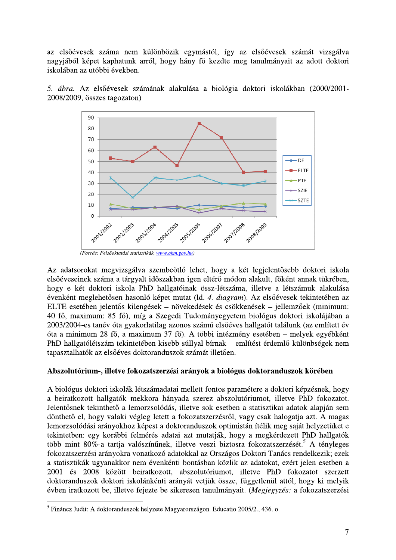az elsőévesek száma nem különbözik egymástól, így az elsőévesek számát vizsgálva nagyjából képet kaphatunk arról, hogy hány fő kezdte meg tanulmányait az adott doktori iskolában az utóbbi években.





Az adatsorokat megvizsgálva szembeötlő lehet, hogy a két legjelentősebb doktori iskola elsőéveseinek száma a tárgyalt időszakban igen eltérő módon alakult, főként annak tükrében, hogy e két doktori iskola PhD hallgatóinak össz-létszáma, illetve a létszámuk alakulása évenként meglehetősen hasonló képet mutat (ld. 4. diagram). Az elsőévesek tekintetében az ELTE esetében jelentős kilengések – növekedések és csökkenések – jellemzőek (minimum: 40 fő, maximum: 85 fő), míg a Szegedi Tudományegyetem biológus doktori iskolájában a 2003/2004-es tanév óta gyakorlatilag azonos számú elsőéves hallgatót találunk (az említett év óta a minimum 28 fő, a maximum 37 fő). A többi intézmény esetében – melyek egyébként PhD hallgatólétszám tekintetében kisebb súllyal bírnak – említést érdemlő különbségek nem tapasztalhatók az elsőéves doktoranduszok számát illetően.

#### Abszolutórium-, illetve fokozatszerzési arányok a biológus doktoranduszok körében

A biológus doktori iskolák létszámadatai mellett fontos paramétere a doktori képzésnek, hogy a beiratkozott hallgatók mekkora hányada szerez abszolutóriumot, illetve PhD fokozatot. Jelentősnek tekinthető a lemorzsolódás, illetve sok esetben a statisztikai adatok alapján sem dönthető el, hogy valaki végleg letett a fokozatszerzésről, vagy csak halogatja azt. A magas lemorzsolódási arányokhoz képest a doktoranduszok optimistán ítélik meg saját helyzetüket e tekintetben: egy korábbi felmérés adatai azt mutatják, hogy a megkérdezett PhD hallgatók több mint 80%-a tartja valószínűnek, illetve veszi biztosra fokozatszerzését.<sup>5</sup> A tényleges fokozatszerzési arányokra vonatkozó adatokkal az Országos Doktori Tanács rendelkezik; ezek a statisztikák ugyanakkor nem évenkénti bontásban közlik az adatokat, ezért jelen esetben a 2001 és 2008 között beiratkozott, abszolutóriumot, illetve PhD fokozatot szerzett doktoranduszok doktori iskolánkénti arányát vetjük össze, függetlenül attól, hogy ki melyik évben iratkozott be, illetve fejezte be sikeresen tanulmányait. (Megjegyzés: a fokozatszerzési

<sup>&</sup>lt;sup>5</sup> Fináncz Judit: A doktoranduszok helyzete Magyarországon. Educatio 2005/2., 436. o.